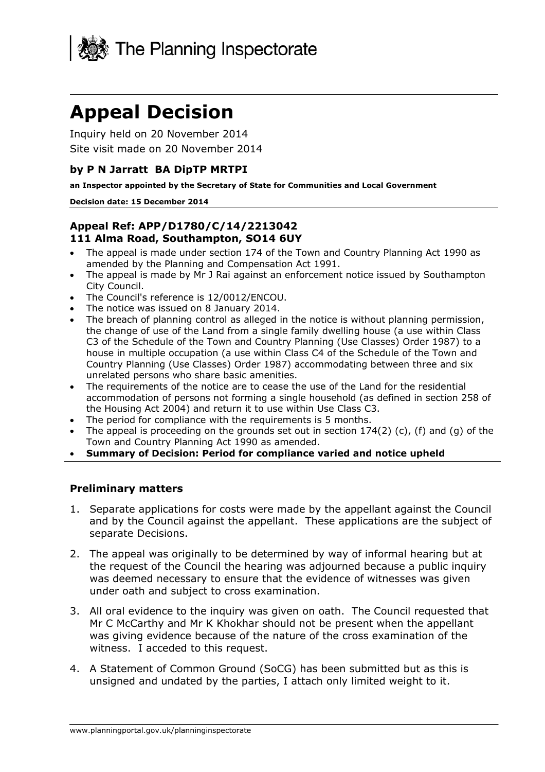

# **Appeal Decision**

Inquiry held on 20 November 2014 Site visit made on 20 November 2014

#### **by P N Jarratt BA DipTP MRTPI**

**an Inspector appointed by the Secretary of State for Communities and Local Government** 

#### **Decision date: 15 December 2014**

#### **Appeal Ref: APP/D1780/C/14/2213042 111 Alma Road, Southampton, SO14 6UY**

- The appeal is made under section 174 of the Town and Country Planning Act 1990 as amended by the Planning and Compensation Act 1991.
- The appeal is made by Mr J Rai against an enforcement notice issued by Southampton City Council.
- The Council's reference is 12/0012/ENCOU.
- The notice was issued on 8 January 2014.
- The breach of planning control as alleged in the notice is without planning permission, the change of use of the Land from a single family dwelling house (a use within Class C3 of the Schedule of the Town and Country Planning (Use Classes) Order 1987) to a house in multiple occupation (a use within Class C4 of the Schedule of the Town and Country Planning (Use Classes) Order 1987) accommodating between three and six unrelated persons who share basic amenities.
- The requirements of the notice are to cease the use of the Land for the residential accommodation of persons not forming a single household (as defined in section 258 of the Housing Act 2004) and return it to use within Use Class C3.
- The period for compliance with the requirements is 5 months.
- The appeal is proceeding on the grounds set out in section  $174(2)$  (c), (f) and (g) of the Town and Country Planning Act 1990 as amended.
- **Summary of Decision: Period for compliance varied and notice upheld**

#### **Preliminary matters**

- 1. Separate applications for costs were made by the appellant against the Council and by the Council against the appellant. These applications are the subject of separate Decisions.
- 2. The appeal was originally to be determined by way of informal hearing but at the request of the Council the hearing was adjourned because a public inquiry was deemed necessary to ensure that the evidence of witnesses was given under oath and subject to cross examination.
- 3. All oral evidence to the inquiry was given on oath. The Council requested that Mr C McCarthy and Mr K Khokhar should not be present when the appellant was giving evidence because of the nature of the cross examination of the witness. I acceded to this request.
- 4. A Statement of Common Ground (SoCG) has been submitted but as this is unsigned and undated by the parties, I attach only limited weight to it.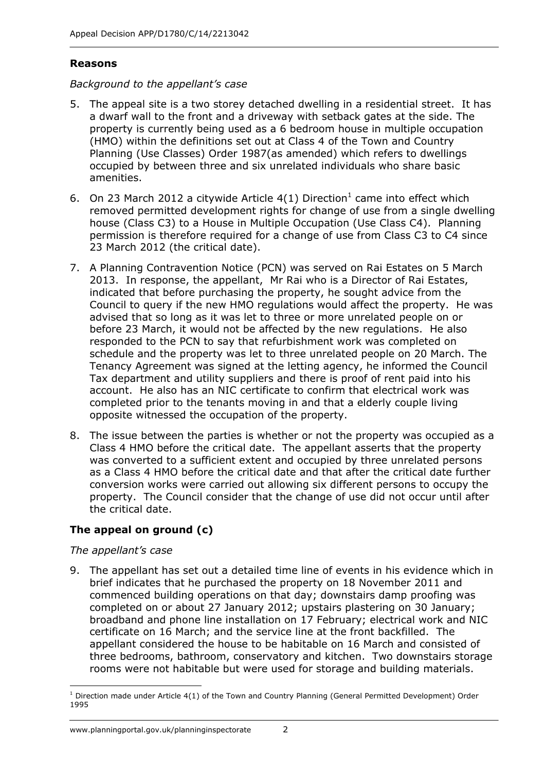#### **Reasons**

#### *Background to the appellant's case*

- 5. The appeal site is a two storey detached dwelling in a residential street. It has a dwarf wall to the front and a driveway with setback gates at the side. The property is currently being used as a 6 bedroom house in multiple occupation (HMO) within the definitions set out at Class 4 of the Town and Country Planning (Use Classes) Order 1987(as amended) which refers to dwellings occupied by between three and six unrelated individuals who share basic amenities.
- 6. On 23 March 2012 a citywide Article  $4(1)$  Direction<sup>1</sup> came into effect which removed permitted development rights for change of use from a single dwelling house (Class C3) to a House in Multiple Occupation (Use Class C4). Planning permission is therefore required for a change of use from Class C3 to C4 since 23 March 2012 (the critical date).
- 7. A Planning Contravention Notice (PCN) was served on Rai Estates on 5 March 2013. In response, the appellant, Mr Rai who is a Director of Rai Estates, indicated that before purchasing the property, he sought advice from the Council to query if the new HMO regulations would affect the property. He was advised that so long as it was let to three or more unrelated people on or before 23 March, it would not be affected by the new regulations. He also responded to the PCN to say that refurbishment work was completed on schedule and the property was let to three unrelated people on 20 March. The Tenancy Agreement was signed at the letting agency, he informed the Council Tax department and utility suppliers and there is proof of rent paid into his account. He also has an NIC certificate to confirm that electrical work was completed prior to the tenants moving in and that a elderly couple living opposite witnessed the occupation of the property.
- 8. The issue between the parties is whether or not the property was occupied as a Class 4 HMO before the critical date. The appellant asserts that the property was converted to a sufficient extent and occupied by three unrelated persons as a Class 4 HMO before the critical date and that after the critical date further conversion works were carried out allowing six different persons to occupy the property. The Council consider that the change of use did not occur until after the critical date.

## **The appeal on ground (c)**

#### *The appellant's case*

9. The appellant has set out a detailed time line of events in his evidence which in brief indicates that he purchased the property on 18 November 2011 and commenced building operations on that day; downstairs damp proofing was completed on or about 27 January 2012; upstairs plastering on 30 January; broadband and phone line installation on 17 February; electrical work and NIC certificate on 16 March; and the service line at the front backfilled. The appellant considered the house to be habitable on 16 March and consisted of three bedrooms, bathroom, conservatory and kitchen. Two downstairs storage rooms were not habitable but were used for storage and building materials.

<sup>-</sup><sup>1</sup> Direction made under Article 4(1) of the Town and Country Planning (General Permitted Development) Order 1995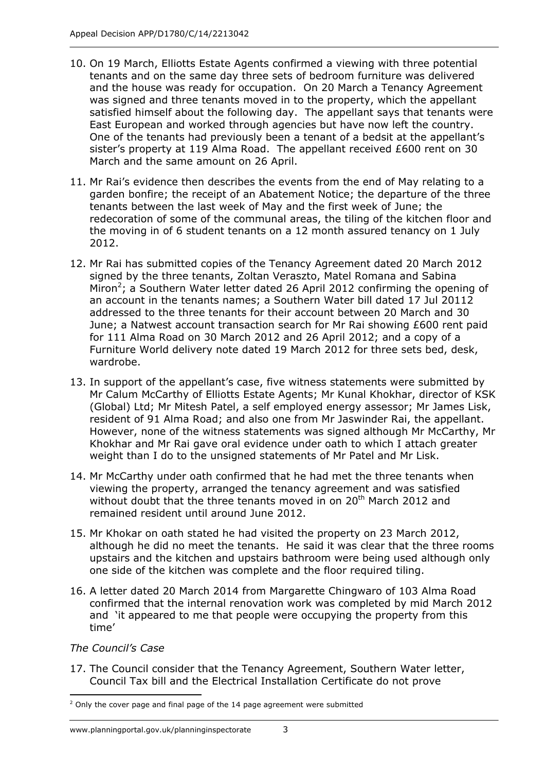- 10. On 19 March, Elliotts Estate Agents confirmed a viewing with three potential tenants and on the same day three sets of bedroom furniture was delivered and the house was ready for occupation. On 20 March a Tenancy Agreement was signed and three tenants moved in to the property, which the appellant satisfied himself about the following day. The appellant says that tenants were East European and worked through agencies but have now left the country. One of the tenants had previously been a tenant of a bedsit at the appellant's sister's property at 119 Alma Road. The appellant received £600 rent on 30 March and the same amount on 26 April.
- 11. Mr Rai's evidence then describes the events from the end of May relating to a garden bonfire; the receipt of an Abatement Notice; the departure of the three tenants between the last week of May and the first week of June; the redecoration of some of the communal areas, the tiling of the kitchen floor and the moving in of 6 student tenants on a 12 month assured tenancy on 1 July 2012.
- 12. Mr Rai has submitted copies of the Tenancy Agreement dated 20 March 2012 signed by the three tenants, Zoltan Veraszto, Matel Romana and Sabina Miron<sup>2</sup>; a Southern Water letter dated 26 April 2012 confirming the opening of an account in the tenants names; a Southern Water bill dated 17 Jul 20112 addressed to the three tenants for their account between 20 March and 30 June; a Natwest account transaction search for Mr Rai showing £600 rent paid for 111 Alma Road on 30 March 2012 and 26 April 2012; and a copy of a Furniture World delivery note dated 19 March 2012 for three sets bed, desk, wardrobe.
- 13. In support of the appellant's case, five witness statements were submitted by Mr Calum McCarthy of Elliotts Estate Agents; Mr Kunal Khokhar, director of KSK (Global) Ltd; Mr Mitesh Patel, a self employed energy assessor; Mr James Lisk, resident of 91 Alma Road; and also one from Mr Jaswinder Rai, the appellant. However, none of the witness statements was signed although Mr McCarthy, Mr Khokhar and Mr Rai gave oral evidence under oath to which I attach greater weight than I do to the unsigned statements of Mr Patel and Mr Lisk.
- 14. Mr McCarthy under oath confirmed that he had met the three tenants when viewing the property, arranged the tenancy agreement and was satisfied without doubt that the three tenants moved in on 20<sup>th</sup> March 2012 and remained resident until around June 2012.
- 15. Mr Khokar on oath stated he had visited the property on 23 March 2012, although he did no meet the tenants. He said it was clear that the three rooms upstairs and the kitchen and upstairs bathroom were being used although only one side of the kitchen was complete and the floor required tiling.
- 16. A letter dated 20 March 2014 from Margarette Chingwaro of 103 Alma Road confirmed that the internal renovation work was completed by mid March 2012 and 'it appeared to me that people were occupying the property from this time'

*The Council's Case* 

17. The Council consider that the Tenancy Agreement, Southern Water letter, Council Tax bill and the Electrical Installation Certificate do not prove

<sup>1</sup>  $2$  Only the cover page and final page of the 14 page agreement were submitted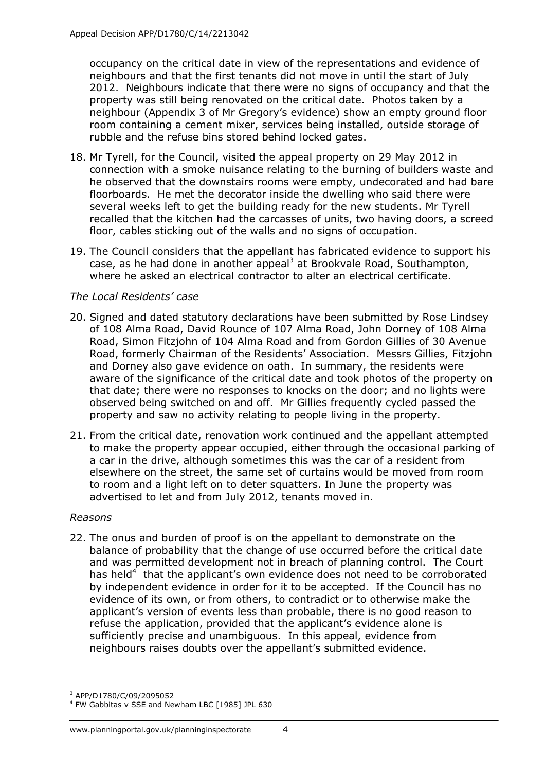occupancy on the critical date in view of the representations and evidence of neighbours and that the first tenants did not move in until the start of July 2012. Neighbours indicate that there were no signs of occupancy and that the property was still being renovated on the critical date. Photos taken by a neighbour (Appendix 3 of Mr Gregory's evidence) show an empty ground floor room containing a cement mixer, services being installed, outside storage of rubble and the refuse bins stored behind locked gates.

- 18. Mr Tyrell, for the Council, visited the appeal property on 29 May 2012 in connection with a smoke nuisance relating to the burning of builders waste and he observed that the downstairs rooms were empty, undecorated and had bare floorboards. He met the decorator inside the dwelling who said there were several weeks left to get the building ready for the new students. Mr Tyrell recalled that the kitchen had the carcasses of units, two having doors, a screed floor, cables sticking out of the walls and no signs of occupation.
- 19. The Council considers that the appellant has fabricated evidence to support his case, as he had done in another appeal<sup>3</sup> at Brookvale Road, Southampton, where he asked an electrical contractor to alter an electrical certificate.

#### *The Local Residents' case*

- 20. Signed and dated statutory declarations have been submitted by Rose Lindsey of 108 Alma Road, David Rounce of 107 Alma Road, John Dorney of 108 Alma Road, Simon Fitzjohn of 104 Alma Road and from Gordon Gillies of 30 Avenue Road, formerly Chairman of the Residents' Association. Messrs Gillies, Fitzjohn and Dorney also gave evidence on oath. In summary, the residents were aware of the significance of the critical date and took photos of the property on that date; there were no responses to knocks on the door; and no lights were observed being switched on and off. Mr Gillies frequently cycled passed the property and saw no activity relating to people living in the property.
- 21. From the critical date, renovation work continued and the appellant attempted to make the property appear occupied, either through the occasional parking of a car in the drive, although sometimes this was the car of a resident from elsewhere on the street, the same set of curtains would be moved from room to room and a light left on to deter squatters. In June the property was advertised to let and from July 2012, tenants moved in.

#### *Reasons*

22. The onus and burden of proof is on the appellant to demonstrate on the balance of probability that the change of use occurred before the critical date and was permitted development not in breach of planning control. The Court has held<sup>4</sup> that the applicant's own evidence does not need to be corroborated by independent evidence in order for it to be accepted. If the Council has no evidence of its own, or from others, to contradict or to otherwise make the applicant's version of events less than probable, there is no good reason to refuse the application, provided that the applicant's evidence alone is sufficiently precise and unambiguous. In this appeal, evidence from neighbours raises doubts over the appellant's submitted evidence.

<sup>-</sup>3 APP/D1780/C/09/2095052

<sup>4</sup> FW Gabbitas v SSE and Newham LBC [1985] JPL 630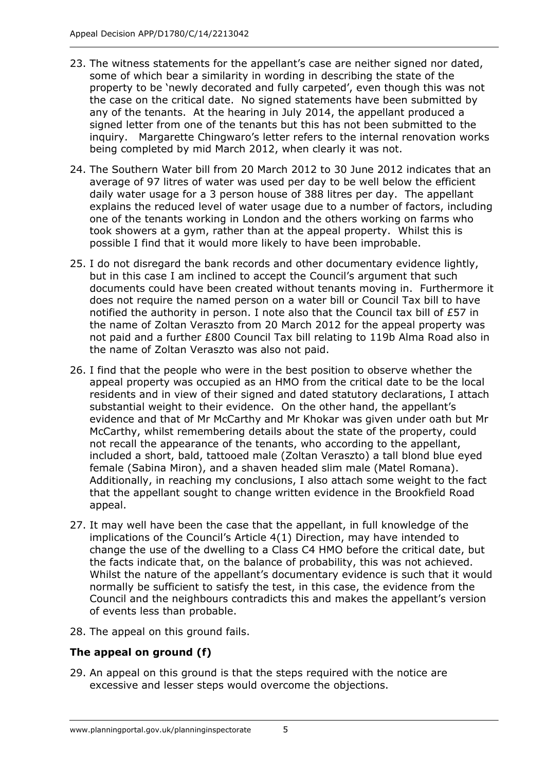- 23. The witness statements for the appellant's case are neither signed nor dated, some of which bear a similarity in wording in describing the state of the property to be 'newly decorated and fully carpeted', even though this was not the case on the critical date. No signed statements have been submitted by any of the tenants. At the hearing in July 2014, the appellant produced a signed letter from one of the tenants but this has not been submitted to the inquiry. Margarette Chingwaro's letter refers to the internal renovation works being completed by mid March 2012, when clearly it was not.
- 24. The Southern Water bill from 20 March 2012 to 30 June 2012 indicates that an average of 97 litres of water was used per day to be well below the efficient daily water usage for a 3 person house of 388 litres per day. The appellant explains the reduced level of water usage due to a number of factors, including one of the tenants working in London and the others working on farms who took showers at a gym, rather than at the appeal property. Whilst this is possible I find that it would more likely to have been improbable.
- 25. I do not disregard the bank records and other documentary evidence lightly, but in this case I am inclined to accept the Council's argument that such documents could have been created without tenants moving in. Furthermore it does not require the named person on a water bill or Council Tax bill to have notified the authority in person. I note also that the Council tax bill of £57 in the name of Zoltan Veraszto from 20 March 2012 for the appeal property was not paid and a further £800 Council Tax bill relating to 119b Alma Road also in the name of Zoltan Veraszto was also not paid.
- 26. I find that the people who were in the best position to observe whether the appeal property was occupied as an HMO from the critical date to be the local residents and in view of their signed and dated statutory declarations, I attach substantial weight to their evidence. On the other hand, the appellant's evidence and that of Mr McCarthy and Mr Khokar was given under oath but Mr McCarthy, whilst remembering details about the state of the property, could not recall the appearance of the tenants, who according to the appellant, included a short, bald, tattooed male (Zoltan Veraszto) a tall blond blue eyed female (Sabina Miron), and a shaven headed slim male (Matel Romana). Additionally, in reaching my conclusions, I also attach some weight to the fact that the appellant sought to change written evidence in the Brookfield Road appeal.
- 27. It may well have been the case that the appellant, in full knowledge of the implications of the Council's Article 4(1) Direction, may have intended to change the use of the dwelling to a Class C4 HMO before the critical date, but the facts indicate that, on the balance of probability, this was not achieved. Whilst the nature of the appellant's documentary evidence is such that it would normally be sufficient to satisfy the test, in this case, the evidence from the Council and the neighbours contradicts this and makes the appellant's version of events less than probable.
- 28. The appeal on this ground fails.

## **The appeal on ground (f)**

29. An appeal on this ground is that the steps required with the notice are excessive and lesser steps would overcome the objections.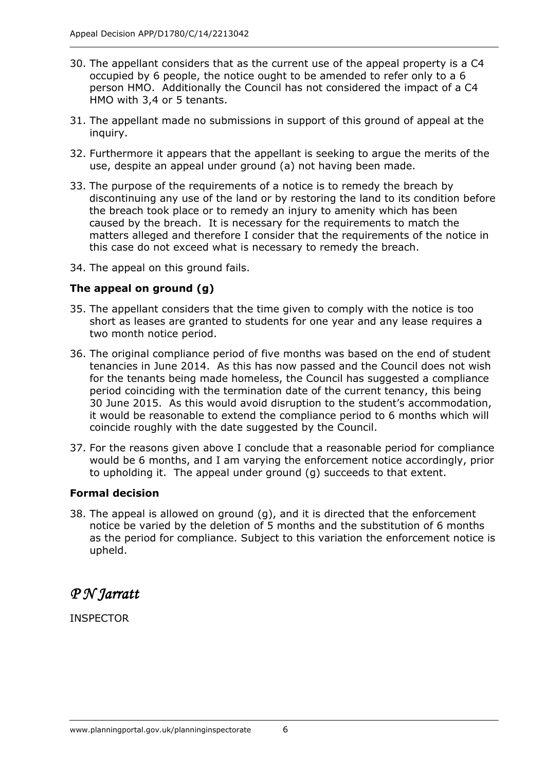- 30. The appellant considers that as the current use of the appeal property is a C4 occupied by 6 people, the notice ought to be amended to refer only to a 6 person HMO. Additionally the Council has not considered the impact of a C4 HMO with 3,4 or 5 tenants.
- 31. The appellant made no submissions in support of this ground of appeal at the inquiry.
- 32. Furthermore it appears that the appellant is seeking to argue the merits of the use, despite an appeal under ground (a) not having been made.
- 33. The purpose of the requirements of a notice is to remedy the breach by discontinuing any use of the land or by restoring the land to its condition before the breach took place or to remedy an injury to amenity which has been caused by the breach. It is necessary for the requirements to match the matters alleged and therefore I consider that the requirements of the notice in this case do not exceed what is necessary to remedy the breach.
- 34. The appeal on this ground fails.

#### **The appeal on ground (g)**

- 35. The appellant considers that the time given to comply with the notice is too short as leases are granted to students for one year and any lease requires a two month notice period.
- 36. The original compliance period of five months was based on the end of student tenancies in June 2014. As this has now passed and the Council does not wish for the tenants being made homeless, the Council has suggested a compliance period coinciding with the termination date of the current tenancy, this being 30 June 2015. As this would avoid disruption to the student's accommodation, it would be reasonable to extend the compliance period to 6 months which will coincide roughly with the date suggested by the Council.
- 37. For the reasons given above I conclude that a reasonable period for compliance would be 6 months, and I am varying the enforcement notice accordingly, prior to upholding it. The appeal under ground (g) succeeds to that extent.

#### **Formal decision**

38. The appeal is allowed on ground (g), and it is directed that the enforcement notice be varied by the deletion of 5 months and the substitution of 6 months as the period for compliance. Subject to this variation the enforcement notice is upheld.

# *P N Jarratt P*

INSPECTOR